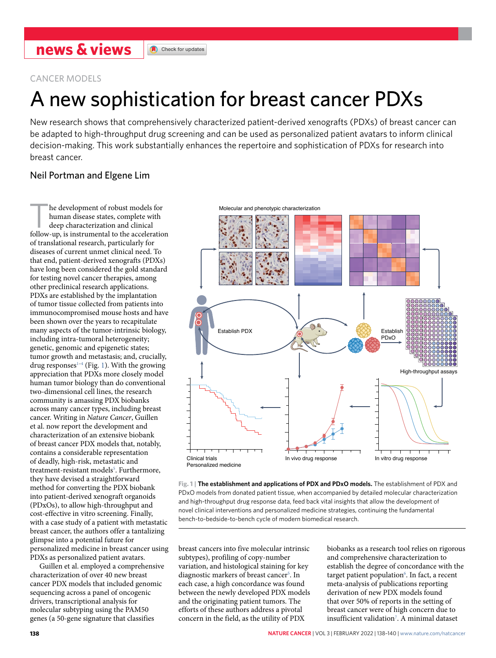CANCER MODELS

# A new sophistication for breast cancer PDXs

New research shows that comprehensively characterized patient-derived xenografts (PDXs) of breast cancer can be adapted to high-throughput drug screening and can be used as personalized patient avatars to inform clinical decision-making. This work substantially enhances the repertoire and sophistication of PDXs for research into breast cancer.

## Neil Portman and Elgene Lim

he development of robust models for human disease states, complete with deep characterization and clinical follow-up, is instrumental to the acceleration of translational research, particularly for diseases of current unmet clinical need. To that end, patient-derived xenografts (PDXs) have long been considered the gold standard for testing novel cancer therapies, among other preclinical research applications. PDXs are established by the implantation of tumor tissue collected from patients into immunocompromised mouse hosts and have been shown over the years to recapitulate many aspects of the tumor-intrinsic biology, including intra-tumoral heterogeneity; genetic, genomic and epigenetic states; tumor growth and metastasis; and, crucially, drug responses $1-4$  $1-4$  (Fig. [1\)](#page-0-0). With the growing appreciation that PDXs more closely model human tumor biology than do conventional two-dimensional cell lines, the research community is amassing PDX biobanks across many cancer types, including breast cancer. Writing in *Nature Cancer*, Guillen et al. now report the development and characterization of an extensive biobank of breast cancer PDX models that, notably, contains a considerable representation of deadly, high-risk, metastatic and treatment-resistant models<sup>[5](#page-2-2)</sup>. Furthermore, they have devised a straightforward method for converting the PDX biobank into patient-derived xenograft organoids (PDxOs), to allow high-throughput and cost-effective in vitro screening. Finally, with a case study of a patient with metastatic breast cancer, the authors offer a tantalizing glimpse into a potential future for personalized medicine in breast cancer using PDXs as personalized patient avatars.

Guillen et al. employed a comprehensive characterization of over 40 new breast cancer PDX models that included genomic sequencing across a panel of oncogenic drivers, transcriptional analysis for molecular subtyping using the PAM50 genes (a 50-gene signature that classifies



<span id="page-0-0"></span>**Fig. 1 | The establishment and applications of PDX and PDxO models.** The establishment of PDX and PDxO models from donated patient tissue, when accompanied by detailed molecular characterization and high-throughput drug response data, feed back vital insights that allow the development of novel clinical interventions and personalized medicine strategies, continuing the fundamental bench-to-bedside-to-bench cycle of modern biomedical research.

breast cancers into five molecular intrinsic subtypes), profiling of copy-number variation, and histological staining for key diagnostic markers of breast cancer<sup>5</sup>. In each case, a high concordance was found between the newly developed PDX models and the originating patient tumors. The efforts of these authors address a pivotal concern in the field, as the utility of PDX

biobanks as a research tool relies on rigorous and comprehensive characterization to establish the degree of concordance with the target patient population<sup>6</sup>. In fact, a recent meta-analysis of publications reporting derivation of new PDX models found that over 50% of reports in the setting of breast cancer were of high concern due to insufficient validation<sup>7</sup>. A minimal dataset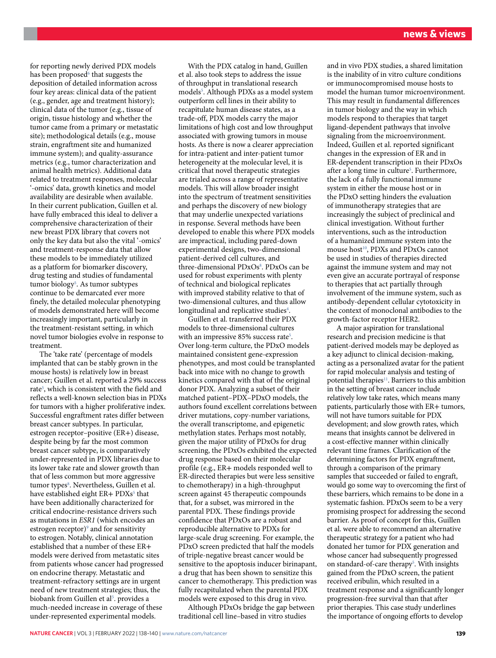for reporting newly derived PDX models has been proposed<sup>6</sup> that suggests the deposition of detailed information across four key areas: clinical data of the patient (e.g., gender, age and treatment history); clinical data of the tumor (e.g., tissue of origin, tissue histology and whether the tumor came from a primary or metastatic site); methodological details (e.g., mouse strain, engraftment site and humanized immune system); and quality-assurance metrics (e.g., tumor characterization and animal health metrics). Additional data related to treatment responses, molecular '-omics' data, growth kinetics and model availability are desirable when available. In their current publication, Guillen et al. have fully embraced this ideal to deliver a comprehensive characterization of their new breast PDX library that covers not only the key data but also the vital '-omics' and treatment-response data that allow these models to be immediately utilized as a platform for biomarker discovery, drug testing and studies of fundamental tumor biology<sup>5</sup>. As tumor subtypes continue to be demarcated ever more finely, the detailed molecular phenotyping of models demonstrated here will become increasingly important, particularly in the treatment-resistant setting, in which novel tumor biologies evolve in response to treatment.

The 'take rate' (percentage of models implanted that can be stably grown in the mouse hosts) is relatively low in breast cancer; Guillen et al. reported a 29% success rate<sup>5</sup>, which is consistent with the field and reflects a well-known selection bias in PDXs for tumors with a higher proliferative index. Successful engraftment rates differ between breast cancer subtypes. In particular, estrogen receptor–positive (ER+) disease, despite being by far the most common breast cancer subtype, is comparatively under-represented in PDX libraries due to its lower take rate and slower growth than that of less common but more aggressive tumor types<sup>[8](#page-2-5)</sup>. Nevertheless, Guillen et al. have established eight ER+ PDXs<sup>[5](#page-2-2)</sup> that have been additionally characterized for critical endocrine-resistance drivers such as mutations in *ESR1* (which encodes an estrogen receptor)<sup>[9](#page-2-6)</sup> and for sensitivity to estrogen. Notably, clinical annotation established that a number of these ER+ models were derived from metastatic sites from patients whose cancer had progressed on endocrine therapy. Metastatic and treatment-refractory settings are in urgent need of new treatment strategies; thus, the biobank from Guillen et al<sup>5</sup>. provides a much-needed increase in coverage of these under-represented experimental models.

With the PDX catalog in hand, Guillen et al. also took steps to address the issue of throughput in translational research models<sup>5</sup>. Although PDXs as a model system outperform cell lines in their ability to recapitulate human disease states, as a trade-off, PDX models carry the major limitations of high cost and low throughput associated with growing tumors in mouse hosts. As there is now a clearer appreciation for intra-patient and inter-patient tumor heterogeneity at the molecular level, it is critical that novel therapeutic strategies are trialed across a range of representative models. This will allow broader insight into the spectrum of treatment sensitivities and perhaps the discovery of new biology that may underlie unexpected variations in response. Several methods have been developed to enable this where PDX models are impractical, including pared-down experimental designs, two-dimensional patient-derived cell cultures, and three-dimensional PDxOs<sup>[8](#page-2-5)</sup>. PDxOs can be used for robust experiments with plenty of technical and biological replicates with improved stability relative to that of two-dimensional cultures, and thus allow longitudinal and replicative studies<sup>4</sup>.

Guillen et al. transferred their PDX models to three-dimensional cultures with an impressive 85% success rate<sup>5</sup>. Over long-term culture, the PDxO models maintained consistent gene-expression phenotypes, and most could be transplanted back into mice with no change to growth kinetics compared with that of the original donor PDX. Analyzing a subset of their matched patient–PDX–PDxO models, the authors found excellent correlations between driver mutations, copy-number variations, the overall transcriptome, and epigenetic methylation states. Perhaps most notably, given the major utility of PDxOs for drug screening, the PDxOs exhibited the expected drug response based on their molecular profile (e.g., ER+ models responded well to ER-directed therapies but were less sensitive to chemotherapy) in a high-throughput screen against 45 therapeutic compounds that, for a subset, was mirrored in the parental PDX. These findings provide confidence that PDxOs are a robust and reproducible alternative to PDXs for large-scale drug screening. For example, the PDxO screen predicted that half the models of triple-negative breast cancer would be sensitive to the apoptosis inducer birinapant, a drug that has been shown to sensitize this cancer to chemotherapy. This prediction was fully recapitulated when the parental PDX models were exposed to this drug in vivo.

Although PDxOs bridge the gap between traditional cell line–based in vitro studies

and in vivo PDX studies, a shared limitation is the inability of in vitro culture conditions or immunocompromised mouse hosts to model the human tumor microenvironment. This may result in fundamental differences in tumor biology and the way in which models respond to therapies that target ligand-dependent pathways that involve signaling from the microenvironment. Indeed, Guillen et al. reported significant changes in the expression of ER and in ER-dependent transcription in their PDxOs after a long time in culture<sup>[5](#page-2-2)</sup>. Furthermore, the lack of a fully functional immune system in either the mouse host or in the PDxO setting hinders the evaluation of immunotherapy strategies that are increasingly the subject of preclinical and clinical investigation. Without further interventions, such as the introduction of a humanized immune system into the mouse host<sup>10</sup>, PDXs and PDxOs cannot be used in studies of therapies directed against the immune system and may not even give an accurate portrayal of response to therapies that act partially through involvement of the immune system, such as antibody-dependent cellular cytotoxicity in the context of monoclonal antibodies to the growth-factor receptor HER2.

A major aspiration for translational research and precision medicine is that patient-derived models may be deployed as a key adjunct to clinical decision-making, acting as a personalized avatar for the patient for rapid molecular analysis and testing of potential therapies<sup>11</sup>. Barriers to this ambition in the setting of breast cancer include relatively low take rates, which means many patients, particularly those with ER+ tumors, will not have tumors suitable for PDX development; and slow growth rates, which means that insights cannot be delivered in a cost-effective manner within clinically relevant time frames. Clarification of the determining factors for PDX engraftment, through a comparison of the primary samples that succeeded or failed to engraft, would go some way to overcoming the first of these barriers, which remains to be done in a systematic fashion. PDxOs seem to be a very promising prospect for addressing the second barrier. As proof of concept for this, Guillen et al. were able to recommend an alternative therapeutic strategy for a patient who had donated her tumor for PDX generation and whose cancer had subsequently progressed on standard-of-care therapy<sup>5</sup>. With insights gained from the PDxO screen, the patient received eribulin, which resulted in a treatment response and a significantly longer progression-free survival than that after prior therapies. This case study underlines the importance of ongoing efforts to develop